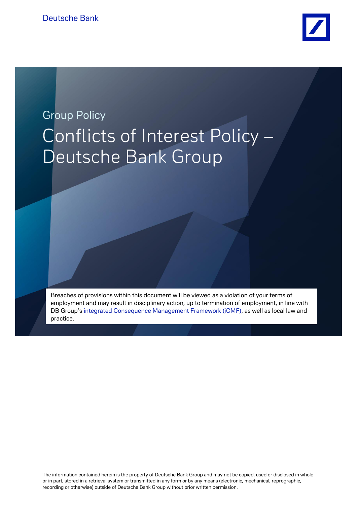

# **Group Policy** Conflicts of Interest Policy – Deutsche Bank Group

Breaches of provisions within this document will be viewed as a violation of your terms of employment and may result in disciplinary action, up to termination of employment, in line with DB Group's integrated Consequence Management Framework (iCMF), as well as local law and practice.

Breaches of provisions within this document will be viewed as a violation of your terms of

The information contained herein is the property of Deutsche Bank Group and may not be copied, used or disclosed in whole or in part, stored in a retrieval system or transmitted in any form or by any means (electronic, mechanical, reprographic, recording or otherwise) outside of Deutsche Bank Group without prior written permission.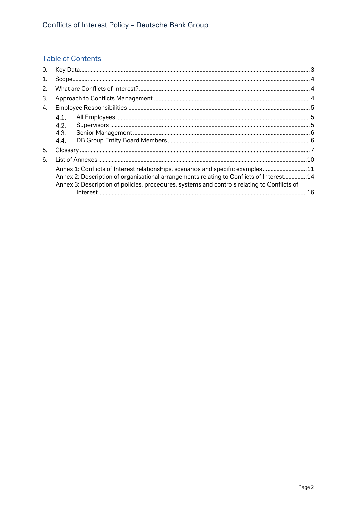# **Table of Contents**

| 0. |                                                                                                                                                                                         |                                                                                 |    |
|----|-----------------------------------------------------------------------------------------------------------------------------------------------------------------------------------------|---------------------------------------------------------------------------------|----|
| 1. |                                                                                                                                                                                         |                                                                                 |    |
| 2. |                                                                                                                                                                                         |                                                                                 |    |
| 3. |                                                                                                                                                                                         |                                                                                 |    |
| 4. |                                                                                                                                                                                         |                                                                                 |    |
|    | 4.1.                                                                                                                                                                                    |                                                                                 |    |
|    | 4.2.                                                                                                                                                                                    |                                                                                 |    |
|    | 4.3.                                                                                                                                                                                    |                                                                                 |    |
|    | 4.4.                                                                                                                                                                                    |                                                                                 |    |
| 5. |                                                                                                                                                                                         |                                                                                 |    |
| 6. |                                                                                                                                                                                         |                                                                                 |    |
|    |                                                                                                                                                                                         | Annex 1: Conflicts of Interest relationships, scenarios and specific examples11 |    |
|    | Annex 2: Description of organisational arrangements relating to Conflicts of Interest 14<br>Annex 3: Description of policies, procedures, systems and controls relating to Conflicts of |                                                                                 |    |
|    |                                                                                                                                                                                         |                                                                                 | 16 |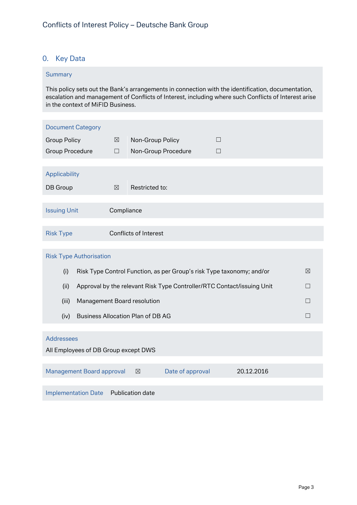# <span id="page-2-0"></span>0. Key Data

#### **Summary**

This policy sets out the Bank's arrangements in connection with the identification, documentation, escalation and management of Conflicts of Interest, including where such Conflicts of Interest arise in the context of MiFID Business.

| <b>Document Category</b>                                                                    |             |                                          |  |                                                                        |   |
|---------------------------------------------------------------------------------------------|-------------|------------------------------------------|--|------------------------------------------------------------------------|---|
| <b>Group Policy</b>                                                                         | $\boxtimes$ | Non-Group Policy                         |  | П                                                                      |   |
| <b>Group Procedure</b>                                                                      | $\Box$      | Non-Group Procedure                      |  | □                                                                      |   |
|                                                                                             |             |                                          |  |                                                                        |   |
| Applicability                                                                               |             |                                          |  |                                                                        |   |
| DB Group                                                                                    | $\boxtimes$ | Restricted to:                           |  |                                                                        |   |
|                                                                                             |             |                                          |  |                                                                        |   |
| <b>Issuing Unit</b><br>Compliance                                                           |             |                                          |  |                                                                        |   |
|                                                                                             |             |                                          |  |                                                                        |   |
| <b>Risk Type</b>                                                                            |             | <b>Conflicts of Interest</b>             |  |                                                                        |   |
| <b>Risk Type Authorisation</b>                                                              |             |                                          |  |                                                                        |   |
| (i)<br>Risk Type Control Function, as per Group's risk Type taxonomy; and/or<br>$\boxtimes$ |             |                                          |  |                                                                        |   |
| (ii)                                                                                        |             |                                          |  | Approval by the relevant Risk Type Controller/RTC Contact/issuing Unit | П |
| (iii)                                                                                       |             | Management Board resolution              |  |                                                                        | П |
| (iv)                                                                                        |             | <b>Business Allocation Plan of DB AG</b> |  |                                                                        | П |
|                                                                                             |             |                                          |  |                                                                        |   |
| <b>Addressees</b>                                                                           |             |                                          |  |                                                                        |   |
| All Employees of DB Group except DWS                                                        |             |                                          |  |                                                                        |   |
| <b>Management Board approval</b><br>Date of approval<br>20.12.2016<br>$\boxtimes$           |             |                                          |  |                                                                        |   |
| Publication date<br><b>Implementation Date</b>                                              |             |                                          |  |                                                                        |   |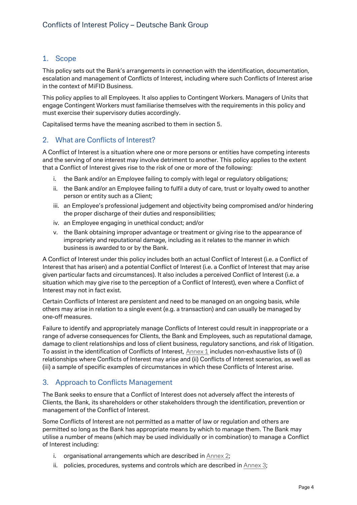# <span id="page-3-0"></span>1. Scope

This policy sets out the Bank's arrangements in connection with the identification, documentation, escalation and management of Conflicts of Interest, including where such Conflicts of Interest arise in the context of MiFID Business.

This policy applies to all Employees. It also applies to Contingent Workers. Managers of Units that engage Contingent Workers must familiarise themselves with the requirements in this policy and must exercise their supervisory duties accordingly.

Capitalised terms have the meaning ascribed to them in section 5.

# <span id="page-3-1"></span>2. What are Conflicts of Interest?

A Conflict of Interest is a situation where one or more persons or entities have competing interests and the serving of one interest may involve detriment to another. This policy applies to the extent that a Conflict of Interest gives rise to the risk of one or more of the following:

- i. the Bank and/or an Employee failing to comply with legal or regulatory obligations;
- ii. the Bank and/or an Employee failing to fulfil a duty of care, trust or loyalty owed to another person or entity such as a Client;
- iii. an Employee's professional judgement and objectivity being compromised and/or hindering the proper discharge of their duties and responsibilities;
- iv. an Employee engaging in unethical conduct; and/or
- v. the Bank obtaining improper advantage or treatment or giving rise to the appearance of impropriety and reputational damage, including as it relates to the manner in which business is awarded to or by the Bank.

A Conflict of Interest under this policy includes both an actual Conflict of Interest (i.e. a Conflict of Interest that has arisen) and a potential Conflict of Interest (i.e. a Conflict of Interest that may arise given particular facts and circumstances). It also includes a perceived Conflict of Interest (i.e. a situation which may give rise to the perception of a Conflict of Interest), even where a Conflict of Interest may not in fact exist.

Certain Conflicts of Interest are persistent and need to be managed on an ongoing basis, while others may arise in relation to a single event (e.g. a transaction) and can usually be managed by one-off measures.

Failure to identify and appropriately manage Conflicts of Interest could result in inappropriate or a range of adverse consequences for Clients, the Bank and Employees, such as reputational damage, damage to client relationships and loss of client business, regulatory sanctions, and risk of litigation. To assist in the identification of Conflicts of Interest, [Annex 1](#page-9-0) includes non-exhaustive lists of (i) relationships where Conflicts of Interest may arise and (ii) Conflicts of Interest scenarios, as well as (iii) a sample of specific examples of circumstances in which these Conflicts of Interest arise.

# <span id="page-3-2"></span>3. Approach to Conflicts Management

The Bank seeks to ensure that a Conflict of Interest does not adversely affect the interests of Clients, the Bank, its shareholders or other stakeholders through the identification, prevention or management of the Conflict of Interest.

Some Conflicts of Interest are not permitted as a matter of law or regulation and others are permitted so long as the Bank has appropriate means by which to manage them. The Bank may utilise a number of means (which may be used individually or in combination) to manage a Conflict of Interest including:

- i. organisational arrangements which are described in [Annex 2;](#page-9-0)
- ii. policies, procedures, systems and controls which are described in [Annex 3;](#page-9-0)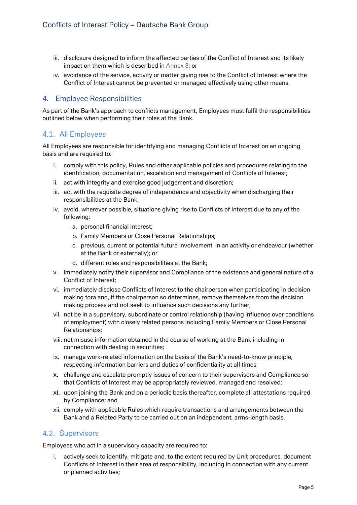- iii. disclosure designed to inform the affected parties of the Conflict of Interest and its likely impact on them which is described in [Annex 3;](#page-9-0) or
- iv. avoidance of the service, activity or matter giving rise to the Conflict of Interest where the Conflict of Interest cannot be prevented or managed effectively using other means.

## <span id="page-4-0"></span>4. Employee Responsibilities

As part of the Bank's approach to conflicts management, Employees must fulfil the responsibilities outlined below when performing their roles at the Bank.

# <span id="page-4-1"></span>All Employees

All Employees are responsible for identifying and managing Conflicts of Interest on an ongoing basis and are required to:

- i. comply with this policy, Rules and other applicable policies and procedures relating to the identification, documentation, escalation and management of Conflicts of Interest;
- ii. act with integrity and exercise good judgement and discretion;
- iii. act with the requisite degree of independence and objectivity when discharging their responsibilities at the Bank;
- iv. avoid, wherever possible, situations giving rise to Conflicts of Interest due to any of the following:
	- a. personal financial interest;
	- b. Family Members or Close Personal Relationships;
	- c. previous, current or potential future involvement in an activity or endeavour (whether at the Bank or externally); or
	- d. different roles and responsibilities at the Bank;
- v. immediately notify their supervisor and Compliance of the existence and general nature of a Conflict of Interest;
- vi. immediately disclose Conflicts of Interest to the chairperson when participating in decision making fora and, if the chairperson so determines, remove themselves from the decision making process and not seek to influence such decisions any further;
- vii. not be in a supervisory, subordinate or control relationship (having influence over conditions of employment) with closely related persons including Family Members or Close Personal Relationships;
- viii. not misuse information obtained in the course of working at the Bank including in connection with dealing in securities;
- ix. manage work-related information on the basis of the Bank's need-to-know principle, respecting information barriers and duties of confidentiality at all times;
- x. challenge and escalate promptly issues of concern to their supervisors and Compliance so that Conflicts of Interest may be appropriately reviewed, managed and resolved;
- xi. upon joining the Bank and on a periodic basis thereafter, complete all attestations required by Compliance; and
- xii. comply with applicable Rules which require transactions and arrangements between the Bank and a Related Party to be carried out on an independent, arms-length basis.

# <span id="page-4-2"></span>4.2. Supervisors

Employees who act in a supervisory capacity are required to:

i. actively seek to identify, mitigate and, to the extent required by Unit procedures, document Conflicts of Interest in their area of responsibility, including in connection with any current or planned activities;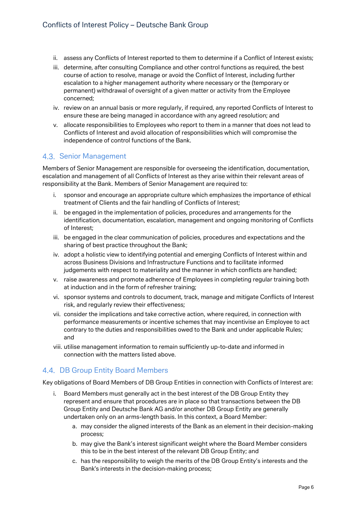- ii. assess any Conflicts of Interest reported to them to determine if a Conflict of Interest exists;
- iii. determine, after consulting Compliance and other control functions as required, the best course of action to resolve, manage or avoid the Conflict of Interest, including further escalation to a higher management authority where necessary or the (temporary or permanent) withdrawal of oversight of a given matter or activity from the Employee concerned;
- iv. review on an annual basis or more regularly, if required, any reported Conflicts of Interest to ensure these are being managed in accordance with any agreed resolution; and
- v. allocate responsibilities to Employees who report to them in a manner that does not lead to Conflicts of Interest and avoid allocation of responsibilities which will compromise the independence of control functions of the Bank.

# <span id="page-5-0"></span>4.3. Senior Management

Members of Senior Management are responsible for overseeing the identification, documentation, escalation and management of all Conflicts of Interest as they arise within their relevant areas of responsibility at the Bank. Members of Senior Management are required to:

- i. sponsor and encourage an appropriate culture which emphasizes the importance of ethical treatment of Clients and the fair handling of Conflicts of Interest;
- ii. be engaged in the implementation of policies, procedures and arrangements for the identification, documentation, escalation, management and ongoing monitoring of Conflicts of Interest;
- iii. be engaged in the clear communication of policies, procedures and expectations and the sharing of best practice throughout the Bank;
- iv. adopt a holistic view to identifying potential and emerging Conflicts of Interest within and across Business Divisions and Infrastructure Functions and to facilitate informed judgements with respect to materiality and the manner in which conflicts are handled;
- v. raise awareness and promote adherence of Employees in completing regular training both at induction and in the form of refresher training;
- vi. sponsor systems and controls to document, track, manage and mitigate Conflicts of Interest risk, and regularly review their effectiveness;
- vii. consider the implications and take corrective action, where required, in connection with performance measurements or incentive schemes that may incentivise an Employee to act contrary to the duties and responsibilities owed to the Bank and under applicable Rules; and
- viii. utilise management information to remain sufficiently up-to-date and informed in connection with the matters listed above.

# <span id="page-5-1"></span>4.4. DB Group Entity Board Members

Key obligations of Board Members of DB Group Entities in connection with Conflicts of Interest are:

- i. Board Members must generally act in the best interest of the DB Group Entity they represent and ensure that procedures are in place so that transactions between the DB Group Entity and Deutsche Bank AG and/or another DB Group Entity are generally undertaken only on an arms-length basis. In this context, a Board Member:
	- a. may consider the aligned interests of the Bank as an element in their decision-making process;
	- b. may give the Bank's interest significant weight where the Board Member considers this to be in the best interest of the relevant DB Group Entity; and
	- c. has the responsibility to weigh the merits of the DB Group Entity's interests and the Bank's interests in the decision-making process;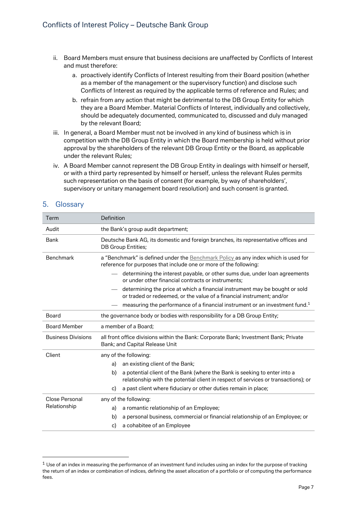- ii. Board Members must ensure that business decisions are unaffected by Conflicts of Interest and must therefore:
	- a. proactively identify Conflicts of Interest resulting from their Board position (whether as a member of the management or the supervisory function) and disclose such Conflicts of Interest as required by the applicable terms of reference and Rules; and
	- b. refrain from any action that might be detrimental to the DB Group Entity for which they are a Board Member. Material Conflicts of Interest, individually and collectively, should be adequately documented, communicated to, discussed and duly managed by the relevant Board;
- iii. In general, a Board Member must not be involved in any kind of business which is in competition with the DB Group Entity in which the Board membership is held without prior approval by the shareholders of the relevant DB Group Entity or the Board, as applicable under the relevant Rules;
- iv. A Board Member cannot represent the DB Group Entity in dealings with himself or herself, or with a third party represented by himself or herself, unless the relevant Rules permits such representation on the basis of consent (for example, by way of shareholders', supervisory or unitary management board resolution) and such consent is granted.

| Term                      | Definition                                                                                                                                                            |  |  |  |
|---------------------------|-----------------------------------------------------------------------------------------------------------------------------------------------------------------------|--|--|--|
| Audit                     | the Bank's group audit department;                                                                                                                                    |  |  |  |
| Bank                      | Deutsche Bank AG, its domestic and foreign branches, its representative offices and<br><b>DB Group Entities;</b>                                                      |  |  |  |
| <b>Benchmark</b>          | a "Benchmark" is defined under the Benchmark Policy as any index which is used for<br>reference for purposes that include one or more of the following:               |  |  |  |
|                           | determining the interest payable, or other sums due, under loan agreements<br>or under other financial contracts or instruments;                                      |  |  |  |
|                           | determining the price at which a financial instrument may be bought or sold<br>or traded or redeemed, or the value of a financial instrument; and/or                  |  |  |  |
|                           | measuring the performance of a financial instrument or an investment fund. <sup>1</sup>                                                                               |  |  |  |
| Board                     | the governance body or bodies with responsibility for a DB Group Entity;                                                                                              |  |  |  |
|                           |                                                                                                                                                                       |  |  |  |
| <b>Board Member</b>       | a member of a Board:                                                                                                                                                  |  |  |  |
| <b>Business Divisions</b> | all front office divisions within the Bank: Corporate Bank; Investment Bank; Private<br>Bank; and Capital Release Unit                                                |  |  |  |
| Client                    | any of the following:                                                                                                                                                 |  |  |  |
|                           | an existing client of the Bank;<br>a)                                                                                                                                 |  |  |  |
|                           | a potential client of the Bank (where the Bank is seeking to enter into a<br>b)<br>relationship with the potential client in respect of services or transactions); or |  |  |  |
|                           | a past client where fiduciary or other duties remain in place;<br>c)                                                                                                  |  |  |  |
| Close Personal            | any of the following:                                                                                                                                                 |  |  |  |
| Relationship              | a romantic relationship of an Employee;<br>a)                                                                                                                         |  |  |  |
|                           | a personal business, commercial or financial relationship of an Employee; or<br>b)                                                                                    |  |  |  |

# <span id="page-6-0"></span>5. Glossary

 $\overline{a}$ 

 $1$  Use of an index in measuring the performance of an investment fund includes using an index for the purpose of tracking the return of an index or combination of indices, defining the asset allocation of a portfolio or of computing the performance fees.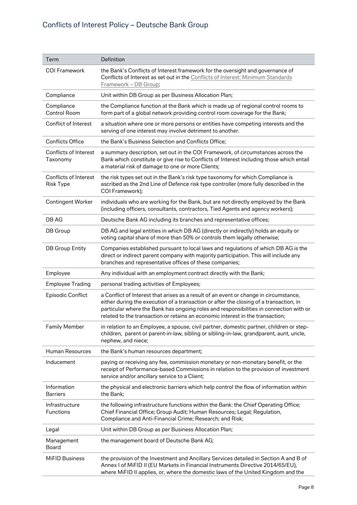# Conflicts of Interest Policy – Deutsche Bank Group

| Term                                             | Definition                                                                                                                                                                                                                                                                                                                                                  |
|--------------------------------------------------|-------------------------------------------------------------------------------------------------------------------------------------------------------------------------------------------------------------------------------------------------------------------------------------------------------------------------------------------------------------|
| <b>COI Framework</b>                             | the Bank's Conflicts of Interest framework for the oversight and governance of<br>Conflicts of Interest as set out in the Conflicts of Interest: Minimum Standards<br>Framework - DB Group;                                                                                                                                                                 |
| Compliance                                       | Unit within DB Group as per Business Allocation Plan;                                                                                                                                                                                                                                                                                                       |
| Compliance<br><b>Control Room</b>                | the Compliance function at the Bank which is made up of regional control rooms to<br>form part of a global network providing control room coverage for the Bank;                                                                                                                                                                                            |
| Conflict of Interest                             | a situation where one or more persons or entities have competing interests and the<br>serving of one interest may involve detriment to another.                                                                                                                                                                                                             |
| <b>Conflicts Office</b>                          | the Bank's Business Selection and Conflicts Office;                                                                                                                                                                                                                                                                                                         |
| Conflicts of Interest<br>Taxonomy                | a summary description, set out in the COI Framework, of circumstances across the<br>Bank which constitute or give rise to Conflicts of Interest including those which entail<br>a material risk of damage to one or more Clients;                                                                                                                           |
| <b>Conflicts of Interest</b><br><b>Risk Type</b> | the risk types set out in the Bank's risk type taxonomy for which Compliance is<br>ascribed as the 2nd Line of Defence risk type controller (more fully described in the<br>COI Framework);                                                                                                                                                                 |
| <b>Contingent Worker</b>                         | individuals who are working for the Bank, but are not directly employed by the Bank<br>(including officers, consultants, contractors, Tied Agents and agency workers);                                                                                                                                                                                      |
| DB AG                                            | Deutsche Bank AG including its branches and representative offices;                                                                                                                                                                                                                                                                                         |
| DB Group                                         | DB AG and legal entities in which DB AG (directly or indirectly) holds an equity or<br>voting capital share of more than 50% or controls them legally otherwise;                                                                                                                                                                                            |
| <b>DB Group Entity</b>                           | Companies established pursuant to local laws and regulations of which DB AG is the<br>direct or indirect parent company with majority participation. This will include any<br>branches and representative offices of these companies;                                                                                                                       |
| Employee                                         | Any individual with an employment contract directly with the Bank;                                                                                                                                                                                                                                                                                          |
| <b>Employee Trading</b>                          | personal trading activities of Employees;                                                                                                                                                                                                                                                                                                                   |
| Episodic Conflict                                | a Conflict of Interest that arises as a result of an event or change in circumstance,<br>either during the execution of a transaction or after the closing of a transaction, in<br>particular where the Bank has ongoing roles and responsibilities in connection with or<br>related to the transaction or retains an economic interest in the transaction; |
| <b>Family Member</b>                             | in relation to an Employee, a spouse, civil partner, domestic partner, children or step-<br>children, parent or parent-in-law, sibling or sibling-in-law, grandparent, aunt, uncle,<br>nephew, and niece;                                                                                                                                                   |
| <b>Human Resources</b>                           | the Bank's human resources department;                                                                                                                                                                                                                                                                                                                      |
| Inducement                                       | paying or receiving any fee, commission monetary or non-monetary benefit, or the<br>receipt of Performance-based Commissions in relation to the provision of investment<br>service and/or ancillary service to a Client;                                                                                                                                    |
| Information<br><b>Barriers</b>                   | the physical and electronic barriers which help control the flow of information within<br>the Bank;                                                                                                                                                                                                                                                         |
| Infrastructure<br>Functions                      | the following infrastructure functions within the Bank: the Chief Operating Office;<br>Chief Financial Office; Group Audit; Human Resources; Legal; Regulation,<br>Compliance and Anti-Financial Crime; Research; and Risk;                                                                                                                                 |
| Legal                                            | Unit within DB Group as per Business Allocation Plan;                                                                                                                                                                                                                                                                                                       |
| Management<br>Board                              | the management board of Deutsche Bank AG;                                                                                                                                                                                                                                                                                                                   |
| <b>MiFID Business</b>                            | the provision of the Investment and Ancillary Services detailed in Section A and B of<br>Annex I of MiFID II (EU Markets in Financial Instruments Directive 2014/65/EU),<br>where MiFID II applies, or, where the domestic laws of the United Kingdom and the                                                                                               |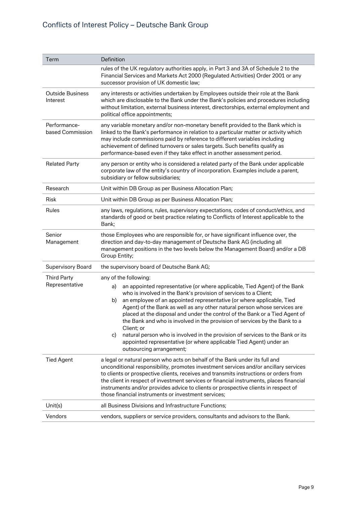# Conflicts of Interest Policy – Deutsche Bank Group

| Term                                 | Definition                                                                                                                                                                                                                                                                                                                                                                                                                                                                                                                                                                                                                                                                                                    |
|--------------------------------------|---------------------------------------------------------------------------------------------------------------------------------------------------------------------------------------------------------------------------------------------------------------------------------------------------------------------------------------------------------------------------------------------------------------------------------------------------------------------------------------------------------------------------------------------------------------------------------------------------------------------------------------------------------------------------------------------------------------|
|                                      | rules of the UK regulatory authorities apply, in Part 3 and 3A of Schedule 2 to the<br>Financial Services and Markets Act 2000 (Regulated Activities) Order 2001 or any<br>successor provision of UK domestic law;                                                                                                                                                                                                                                                                                                                                                                                                                                                                                            |
| <b>Outside Business</b><br>Interest  | any interests or activities undertaken by Employees outside their role at the Bank<br>which are disclosable to the Bank under the Bank's policies and procedures including<br>without limitation, external business interest, directorships, external employment and<br>political office appointments;                                                                                                                                                                                                                                                                                                                                                                                                        |
| Performance-<br>based Commission     | any variable monetary and/or non-monetary benefit provided to the Bank which is<br>linked to the Bank's performance in relation to a particular matter or activity which<br>may include commissions paid by reference to different variables including<br>achievement of defined turnovers or sales targets. Such benefits qualify as<br>performance-based even if they take effect in another assessment period.                                                                                                                                                                                                                                                                                             |
| <b>Related Party</b>                 | any person or entity who is considered a related party of the Bank under applicable<br>corporate law of the entity's country of incorporation. Examples include a parent,<br>subsidiary or fellow subsidiaries;                                                                                                                                                                                                                                                                                                                                                                                                                                                                                               |
| Research                             | Unit within DB Group as per Business Allocation Plan;                                                                                                                                                                                                                                                                                                                                                                                                                                                                                                                                                                                                                                                         |
| Risk                                 | Unit within DB Group as per Business Allocation Plan;                                                                                                                                                                                                                                                                                                                                                                                                                                                                                                                                                                                                                                                         |
| Rules                                | any laws, regulations, rules, supervisory expectations, codes of conduct/ethics, and<br>standards of good or best practice relating to Conflicts of Interest applicable to the<br>Bank;                                                                                                                                                                                                                                                                                                                                                                                                                                                                                                                       |
| Senior<br>Management                 | those Employees who are responsible for, or have significant influence over, the<br>direction and day-to-day management of Deutsche Bank AG (including all<br>management positions in the two levels below the Management Board) and/or a DB<br>Group Entity;                                                                                                                                                                                                                                                                                                                                                                                                                                                 |
| <b>Supervisory Board</b>             | the supervisory board of Deutsche Bank AG;                                                                                                                                                                                                                                                                                                                                                                                                                                                                                                                                                                                                                                                                    |
| <b>Third Party</b><br>Representative | any of the following:<br>an appointed representative (or where applicable, Tied Agent) of the Bank<br>a)<br>who is involved in the Bank's provision of services to a Client;<br>an employee of an appointed representative (or where applicable, Tied<br>b)<br>Agent) of the Bank as well as any other natural person whose services are<br>placed at the disposal and under the control of the Bank or a Tied Agent of<br>the Bank and who is involved in the provision of services by the Bank to a<br>Client; or<br>natural person who is involved in the provision of services to the Bank or its<br>C)<br>appointed representative (or where applicable Tied Agent) under an<br>outsourcing arrangement; |
| <b>Tied Agent</b>                    | a legal or natural person who acts on behalf of the Bank under its full and<br>unconditional responsibility, promotes investment services and/or ancillary services<br>to clients or prospective clients, receives and transmits instructions or orders from<br>the client in respect of investment services or financial instruments, places financial<br>instruments and/or provides advice to clients or prospective clients in respect of<br>those financial instruments or investment services;                                                                                                                                                                                                          |
| Unit(s)                              | all Business Divisions and Infrastructure Functions;                                                                                                                                                                                                                                                                                                                                                                                                                                                                                                                                                                                                                                                          |
| Vendors                              | vendors, suppliers or service providers, consultants and advisors to the Bank.                                                                                                                                                                                                                                                                                                                                                                                                                                                                                                                                                                                                                                |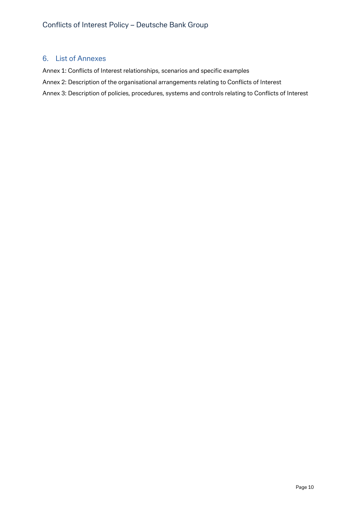### <span id="page-9-0"></span>6. List of Annexes

Annex 1: Conflicts of Interest relationships, scenarios and specific examples

Annex 2: Description of the organisational arrangements relating to Conflicts of Interest

Annex 3: Description of policies, procedures, systems and controls relating to Conflicts of Interest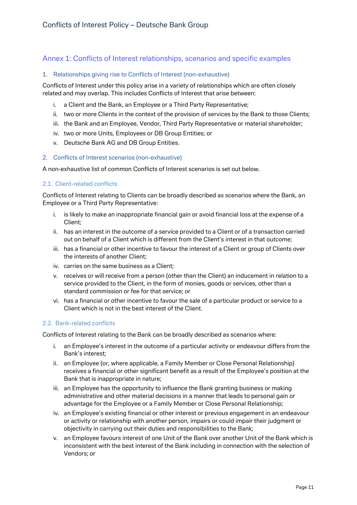# <span id="page-10-0"></span>Annex 1: Conflicts of Interest relationships, scenarios and specific examples

#### 1. Relationships giving rise to Conflicts of Interest (non-exhaustive)

Conflicts of Interest under this policy arise in a variety of relationships which are often closely related and may overlap. This includes Conflicts of Interest that arise between:

- i. a Client and the Bank, an Employee or a Third Party Representative;
- ii. two or more Clients in the context of the provision of services by the Bank to those Clients;
- iii. the Bank and an Employee, Vendor, Third Party Representative or material shareholder;
- iv. two or more Units, Employees or DB Group Entities; or
- v. Deutsche Bank AG and DB Group Entities.

#### 2. Conflicts of Interest scenarios (non-exhaustive)

A non-exhaustive list of common Conflicts of Interest scenarios is set out below.

#### 2.1. Client-related conflicts

Conflicts of Interest relating to Clients can be broadly described as scenarios where the Bank, an Employee or a Third Party Representative:

- i. is likely to make an inappropriate financial gain or avoid financial loss at the expense of a Client;
- ii. has an interest in the outcome of a service provided to a Client or of a transaction carried out on behalf of a Client which is different from the Client's interest in that outcome;
- iii. has a financial or other incentive to favour the interest of a Client or group of Clients over the interests of another Client;
- iv. carries on the same business as a Client;
- v. receives or will receive from a person (other than the Client) an inducement in relation to a service provided to the Client, in the form of monies, goods or services, other than a standard commission or fee for that service; or
- vi. has a financial or other incentive to favour the sale of a particular product or service to a Client which is not in the best interest of the Client.

#### 2.2. Bank-related conflicts

Conflicts of Interest relating to the Bank can be broadly described as scenarios where:

- i. an Employee's interest in the outcome of a particular activity or endeavour differs from the Bank's interest;
- ii. an Employee (or, where applicable, a Family Member or Close Personal Relationship) receives a financial or other significant benefit as a result of the Employee's position at the Bank that is inappropriate in nature;
- iii. an Employee has the opportunity to influence the Bank granting business or making administrative and other material decisions in a manner that leads to personal gain or advantage for the Employee or a Family Member or Close Personal Relationship;
- iv. an Employee's existing financial or other interest or previous engagement in an endeavour or activity or relationship with another person, impairs or could impair their judgment or objectivity in carrying out their duties and responsibilities to the Bank;
- v. an Employee favours interest of one Unit of the Bank over another Unit of the Bank which is inconsistent with the best interest of the Bank including in connection with the selection of Vendors; or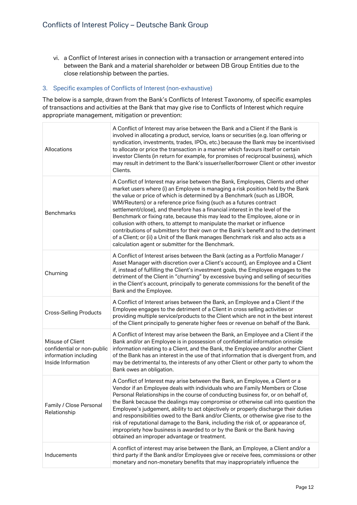vi. a Conflict of Interest arises in connection with a transaction or arrangement entered into between the Bank and a material shareholder or between DB Group Entities due to the close relationship between the parties.

#### 3. Specific examples of Conflicts of Interest (non-exhaustive)

The below is a sample, drawn from the Bank's Conflicts of Interest Taxonomy, of specific examples of transactions and activities at the Bank that may give rise to Conflicts of Interest which require appropriate management, mitigation or prevention:

| Allocations                                                                                   | A Conflict of Interest may arise between the Bank and a Client if the Bank is<br>involved in allocating a product, service, loans or securities (e.g. loan offering or<br>syndication, investments, trades, IPOs, etc.) because the Bank may be incentivised<br>to allocate or price the transaction in a manner which favours itself or certain<br>investor Clients (in return for example, for promises of reciprocal business), which<br>may result in detriment to the Bank's issuer/seller/borrower Client or other investor<br>Clients.                                                                                                                                                                                                                                                       |
|-----------------------------------------------------------------------------------------------|-----------------------------------------------------------------------------------------------------------------------------------------------------------------------------------------------------------------------------------------------------------------------------------------------------------------------------------------------------------------------------------------------------------------------------------------------------------------------------------------------------------------------------------------------------------------------------------------------------------------------------------------------------------------------------------------------------------------------------------------------------------------------------------------------------|
| <b>Benchmarks</b>                                                                             | A Conflict of Interest may arise between the Bank, Employees, Clients and other<br>market users where (i) an Employee is managing a risk position held by the Bank<br>the value or price of which is determined by a Benchmark (such as LIBOR,<br>WM/Reuters) or a reference price fixing (such as a futures contract<br>settlement/close), and therefore has a financial interest in the level of the<br>Benchmark or fixing rate, because this may lead to the Employee, alone or in<br>collusion with others, to attempt to manipulate the market or influence<br>contributions of submitters for their own or the Bank's benefit and to the detriment<br>of a Client; or (ii) a Unit of the Bank manages Benchmark risk and also acts as a<br>calculation agent or submitter for the Benchmark. |
| Churning                                                                                      | A Conflict of Interest arises between the Bank (acting as a Portfolio Manager /<br>Asset Manager with discretion over a Client's account), an Employee and a Client<br>if, instead of fulfilling the Client's investment goals, the Employee engages to the<br>detriment of the Client in "churning" by excessive buying and selling of securities<br>in the Client's account, principally to generate commissions for the benefit of the<br>Bank and the Employee.                                                                                                                                                                                                                                                                                                                                 |
| <b>Cross-Selling Products</b>                                                                 | A Conflict of Interest arises between the Bank, an Employee and a Client if the<br>Employee engages to the detriment of a Client in cross selling activities or<br>providing multiple service/products to the Client which are not in the best interest<br>of the Client principally to generate higher fees or revenue on behalf of the Bank.                                                                                                                                                                                                                                                                                                                                                                                                                                                      |
| Misuse of Client<br>confidential or non-public<br>information including<br>Inside Information | A Conflict of Interest may arise between the Bank, an Employee and a Client if the<br>Bank and/or an Employee is in possession of confidential information orinside<br>information relating to a Client, and the Bank, the Employee and/or another Client<br>of the Bank has an interest in the use of that information that is divergent from, and<br>may be detrimental to, the interests of any other Client or other party to whom the<br>Bank owes an obligation.                                                                                                                                                                                                                                                                                                                              |
| Family / Close Personal<br>Relationship                                                       | A Conflict of Interest may arise between the Bank, an Employee, a Client or a<br>Vendor if an Employee deals with individuals who are Family Members or Close<br>Personal Relationships in the course of conducting business for, or on behalf of,<br>the Bank because the dealings may compromise or otherwise call into question the<br>Employee's judgement, ability to act objectively or properly discharge their duties<br>and responsibilities owed to the Bank and/or Clients, or otherwise give rise to the<br>risk of reputational damage to the Bank, including the risk of, or appearance of,<br>impropriety how business is awarded to or by the Bank or the Bank having<br>obtained an improper advantage or treatment.                                                               |
| Inducements                                                                                   | A conflict of interest may arise between the Bank, an Employee, a Client and/or a<br>third party if the Bank and/or Employees give or receive fees, commissions or other<br>monetary and non-monetary benefits that may inappropriately influence the                                                                                                                                                                                                                                                                                                                                                                                                                                                                                                                                               |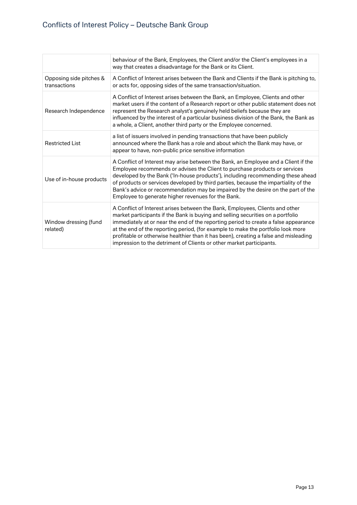|                                         | behaviour of the Bank, Employees, the Client and/or the Client's employees in a<br>way that creates a disadvantage for the Bank or its Client.                                                                                                                                                                                                                                                                                                                                                             |
|-----------------------------------------|------------------------------------------------------------------------------------------------------------------------------------------------------------------------------------------------------------------------------------------------------------------------------------------------------------------------------------------------------------------------------------------------------------------------------------------------------------------------------------------------------------|
| Opposing side pitches &<br>transactions | A Conflict of Interest arises between the Bank and Clients if the Bank is pitching to,<br>or acts for, opposing sides of the same transaction/situation.                                                                                                                                                                                                                                                                                                                                                   |
| Research Independence                   | A Conflict of Interest arises between the Bank, an Employee, Clients and other<br>market users if the content of a Research report or other public statement does not<br>represent the Research analyst's genuinely held beliefs because they are<br>influenced by the interest of a particular business division of the Bank, the Bank as<br>a whole, a Client, another third party or the Employee concerned.                                                                                            |
| <b>Restricted List</b>                  | a list of issuers involved in pending transactions that have been publicly<br>announced where the Bank has a role and about which the Bank may have, or<br>appear to have, non-public price sensitive information                                                                                                                                                                                                                                                                                          |
| Use of in-house products                | A Conflict of Interest may arise between the Bank, an Employee and a Client if the<br>Employee recommends or advises the Client to purchase products or services<br>developed by the Bank ('In-house products'), including recommending these ahead<br>of products or services developed by third parties, because the impartiality of the<br>Bank's advice or recommendation may be impaired by the desire on the part of the<br>Employee to generate higher revenues for the Bank.                       |
| Window dressing (fund<br>related)       | A Conflict of Interest arises between the Bank, Employees, Clients and other<br>market participants if the Bank is buying and selling securities on a portfolio<br>immediately at or near the end of the reporting period to create a false appearance<br>at the end of the reporting period, (for example to make the portfolio look more<br>profitable or otherwise healthier than it has been), creating a false and misleading<br>impression to the detriment of Clients or other market participants. |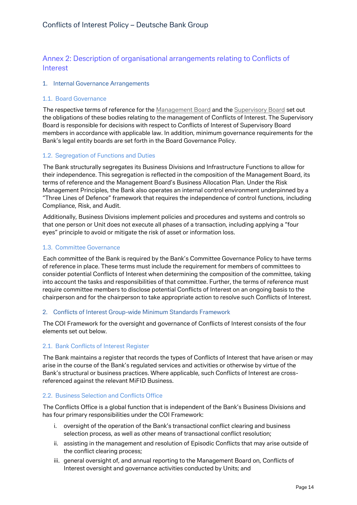# <span id="page-13-0"></span>Annex 2: Description of organisational arrangements relating to Conflicts of Interest

#### 1. Internal Governance Arrangements

#### 1.1. Board Governance

The respective terms of reference for the Management Board and the Supervisory Board set out the obligations of these bodies relating to the management of Conflicts of Interest. The Supervisory Board is responsible for decisions with respect to Conflicts of Interest of Supervisory Board members in accordance with applicable law. In addition, minimum governance requirements for the Bank's legal entity boards are set forth in the Board Governance Policy.

#### 1.2. Segregation of Functions and Duties

The Bank structurally segregates its Business Divisions and Infrastructure Functions to allow for their independence. This segregation is reflected in the composition of the Management Board, its terms of reference and the Management Board's Business Allocation Plan. Under the Risk Management Principles, the Bank also operates an internal control environment underpinned by a "Three Lines of Defence" framework that requires the independence of control functions, including Compliance, Risk, and Audit.

Additionally, Business Divisions implement policies and procedures and systems and controls so that one person or Unit does not execute all phases of a transaction, including applying a "four eyes" principle to avoid or mitigate the risk of asset or information loss.

#### 1.3. Committee Governance

Each committee of the Bank is required by the Bank's Committee Governance Policy to have terms of reference in place. These terms must include the requirement for members of committees to consider potential Conflicts of Interest when determining the composition of the committee, taking into account the tasks and responsibilities of that committee. Further, the terms of reference must require committee members to disclose potential Conflicts of Interest on an ongoing basis to the chairperson and for the chairperson to take appropriate action to resolve such Conflicts of Interest.

#### 2. Conflicts of Interest Group-wide Minimum Standards Framework

The COI Framework for the oversight and governance of Conflicts of Interest consists of the four elements set out below.

#### 2.1. Bank Conflicts of Interest Register

The Bank maintains a register that records the types of Conflicts of Interest that have arisen or may arise in the course of the Bank's regulated services and activities or otherwise by virtue of the Bank's structural or business practices. Where applicable, such Conflicts of Interest are crossreferenced against the relevant MiFID Business.

#### 2.2. Business Selection and Conflicts Office

The Conflicts Office is a global function that is independent of the Bank's Business Divisions and has four primary responsibilities under the COI Framework:

- i. oversight of the operation of the Bank's transactional conflict clearing and business selection process, as well as other means of transactional conflict resolution;
- ii. assisting in the management and resolution of Episodic Conflicts that may arise outside of the conflict clearing process;
- iii. general oversight of, and annual reporting to the Management Board on, Conflicts of Interest oversight and governance activities conducted by Units; and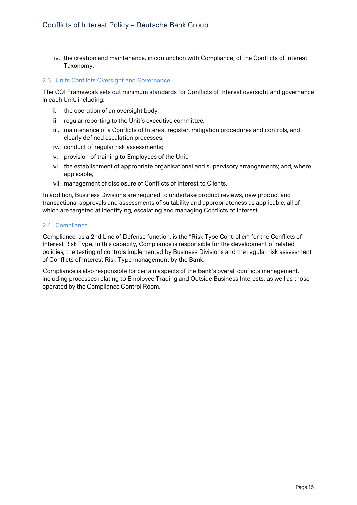iv. the creation and maintenance, in conjunction with Compliance, of the Conflicts of Interest Taxonomy.

#### 2.3. Units Conflicts Oversight and Governance

The COI Framework sets out minimum standards for Conflicts of Interest oversight and governance in each Unit, including:

- i. the operation of an oversight body;
- ii. regular reporting to the Unit's executive committee;
- iii. maintenance of a Conflicts of Interest register, mitigation procedures and controls, and clearly defined escalation processes;
- iv. conduct of regular risk assessments;
- v. provision of training to Employees of the Unit;
- vi. the establishment of appropriate organisational and supervisory arrangements; and, where applicable,
- vii. management of disclosure of Conflicts of Interest to Clients.

In addition, Business Divisions are required to undertake product reviews, new product and transactional approvals and assessments of suitability and appropriateness as applicable, all of which are targeted at identifying, escalating and managing Conflicts of Interest.

#### 2.4. Compliance

Compliance, as a 2nd Line of Defense function, is the "Risk Type Controller" for the Conflicts of Interest Risk Type. In this capacity, Compliance is responsible for the development of related policies, the testing of controls implemented by Business Divisions and the regular risk assessment of Conflicts of Interest Risk Type management by the Bank.

Compliance is also responsible for certain aspects of the Bank's overall conflicts management, including processes relating to Employee Trading and Outside Business Interests, as well as those operated by the Compliance Control Room.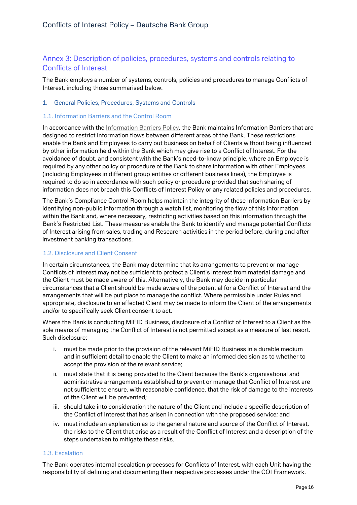# <span id="page-15-0"></span>Annex 3: Description of policies, procedures, systems and controls relating to Conflicts of Interest

The Bank employs a number of systems, controls, policies and procedures to manage Conflicts of Interest, including those summarised below.

#### 1. General Policies, Procedures, Systems and Controls

#### 1.1. Information Barriers and the Control Room

In accordance with the Information Barriers Policy, the Bank maintains Information Barriers that are designed to restrict information flows between different areas of the Bank. These restrictions enable the Bank and Employees to carry out business on behalf of Clients without being influenced by other information held within the Bank which may give rise to a Conflict of Interest. For the avoidance of doubt, and consistent with the Bank's need-to-know principle, where an Employee is required by any other policy or procedure of the Bank to share information with other Employees (including Employees in different group entities or different business lines), the Employee is required to do so in accordance with such policy or procedure provided that such sharing of information does not breach this Conflicts of Interest Policy or any related policies and procedures.

The Bank's Compliance Control Room helps maintain the integrity of these Information Barriers by identifying non-public information through a watch list, monitoring the flow of this information within the Bank and, where necessary, restricting activities based on this information through the Bank's Restricted List. These measures enable the Bank to identify and manage potential Conflicts of Interest arising from sales, trading and Research activities in the period before, during and after investment banking transactions.

#### 1.2. Disclosure and Client Consent

In certain circumstances, the Bank may determine that its arrangements to prevent or manage Conflicts of Interest may not be sufficient to protect a Client's interest from material damage and the Client must be made aware of this. Alternatively, the Bank may decide in particular circumstances that a Client should be made aware of the potential for a Conflict of Interest and the arrangements that will be put place to manage the conflict. Where permissible under Rules and appropriate, disclosure to an affected Client may be made to inform the Client of the arrangements and/or to specifically seek Client consent to act.

Where the Bank is conducting MiFID Business, disclosure of a Conflict of Interest to a Client as the sole means of managing the Conflict of Interest is not permitted except as a measure of last resort. Such disclosure:

- i. must be made prior to the provision of the relevant MiFID Business in a durable medium and in sufficient detail to enable the Client to make an informed decision as to whether to accept the provision of the relevant service;
- ii. must state that it is being provided to the Client because the Bank's organisational and administrative arrangements established to prevent or manage that Conflict of Interest are not sufficient to ensure, with reasonable confidence, that the risk of damage to the interests of the Client will be prevented;
- iii. should take into consideration the nature of the Client and include a specific description of the Conflict of Interest that has arisen in connection with the proposed service; and
- iv. must include an explanation as to the general nature and source of the Conflict of Interest, the risks to the Client that arise as a result of the Conflict of Interest and a description of the steps undertaken to mitigate these risks.

#### 1.3. Escalation

The Bank operates internal escalation processes for Conflicts of Interest, with each Unit having the responsibility of defining and documenting their respective processes under the COI Framework.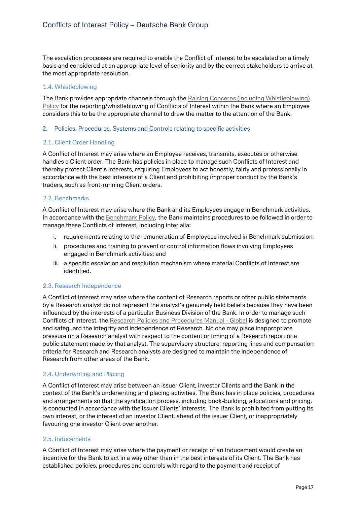The escalation processes are required to enable the Conflict of Interest to be escalated on a timely basis and considered at an appropriate level of seniority and by the correct stakeholders to arrive at the most appropriate resolution.

#### 1.4. Whistleblowing

The Bank provides appropriate channels through the Raising Concerns (including Whistleblowing) Policy for the reporting/whistleblowing of Conflicts of Interest within the Bank where an Employee considers this to be the appropriate channel to draw the matter to the attention of the Bank.

#### 2. Policies, Procedures, Systems and Controls relating to specific activities

#### 2.1. Client Order Handling

A Conflict of Interest may arise where an Employee receives, transmits, executes or otherwise handles a Client order. The Bank has policies in place to manage such Conflicts of Interest and thereby protect Client's interests, requiring Employees to act honestly, fairly and professionally in accordance with the best interests of a Client and prohibiting improper conduct by the Bank's traders, such as front-running Client orders.

#### 2.2. Benchmarks

A Conflict of Interest may arise where the Bank and its Employees engage in Benchmark activities. In accordance with the Benchmark Policy, the Bank maintains procedures to be followed in order to manage these Conflicts of Interest, including inter alia:

- i. requirements relating to the remuneration of Employees involved in Benchmark submission;
- ii. procedures and training to prevent or control information flows involving Employees engaged in Benchmark activities; and
- iii. a specific escalation and resolution mechanism where material Conflicts of Interest are identified.

#### 2.3. Research Independence

A Conflict of Interest may arise where the content of Research reports or other public statements by a Research analyst do not represent the analyst's genuinely held beliefs because they have been influenced by the interests of a particular Business Division of the Bank. In order to manage such Conflicts of Interest, the Research Policies and Procedures Manual - Global is designed to promote and safeguard the integrity and independence of Research. No one may place inappropriate pressure on a Research analyst with respect to the content or timing of a Research report or a public statement made by that analyst. The supervisory structure, reporting lines and compensation criteria for Research and Research analysts are designed to maintain the independence of Research from other areas of the Bank.

#### 2.4. Underwriting and Placing

A Conflict of Interest may arise between an issuer Client, investor Clients and the Bank in the context of the Bank's underwriting and placing activities. The Bank has in place policies, procedures and arrangements so that the syndication process, including book-building, allocations and pricing, is conducted in accordance with the issuer Clients' interests. The Bank is prohibited from putting its own interest, or the interest of an investor Client, ahead of the issuer Client, or inappropriately favouring one investor Client over another.

#### 2.5. Inducements

A Conflict of Interest may arise where the payment or receipt of an Inducement would create an incentive for the Bank to act in a way other than in the best interests of its Client. The Bank has established policies, procedures and controls with regard to the payment and receipt of